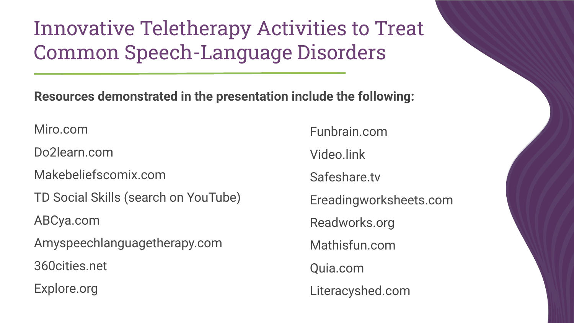Innovative Teletherapy Activities to Treat Common Speech-Language Disorders

**Resources demonstrated in the presentation include the following:**

Miro.com

Do2learn.com

Makebeliefscomix.com

TD Social Skills (search on YouTube)

ABCya.com

Amyspeechlanguagetherapy.com

360cities.net

Explore.org

Funbrain.com

Video.link

Safeshare.tv

Ereadingworksheets.com

Readworks.org

Mathisfun.com

Quia.com

Literacyshed.com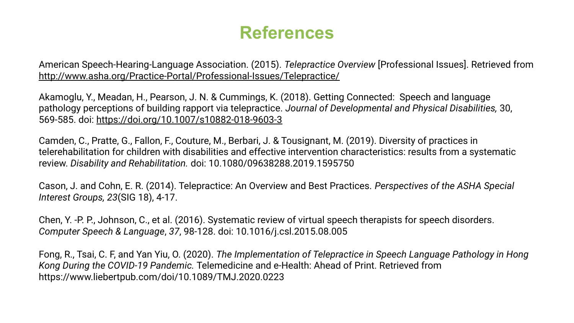## **References**

American Speech-Hearing-Language Association. (2015). *Telepractice Overview* [Professional Issues]. Retrieved from <http://www.asha.org/Practice-Portal/Professional-Issues/Telepractice/>

Akamoglu, Y., Meadan, H., Pearson, J. N. & Cummings, K. (2018). Getting Connected: Speech and language pathology perceptions of building rapport via telepractice. *Journal of Developmental and Physical Disabilities,* 30, 569-585. doi: <https://doi.org/10.1007/s10882-018-9603-3>

Camden, C., Pratte, G., Fallon, F., Couture, M., Berbari, J. & Tousignant, M. (2019). Diversity of practices in telerehabilitation for children with disabilities and effective intervention characteristics: results from a systematic review. *Disability and Rehabilitation.* doi: 10.1080/09638288.2019.1595750

Cason, J. and Cohn, E. R. (2014). Telepractice: An Overview and Best Practices. *Perspectives of the ASHA Special Interest Groups, 23*(SIG 18), 4-17.

Chen, Y. -P. P., Johnson, C., et al. (2016). Systematic review of virtual speech therapists for speech disorders. *Computer Speech & Language*, *37*, 98-128. doi: 10.1016/j.csl.2015.08.005

Fong, R., Tsai, C. F, and Yan Yiu, O. (2020). *The Implementation of Telepractice in Speech Language Pathology in Hong Kong During the COVID-19 Pandemic.* Telemedicine and e-Health: Ahead of Print. Retrieved from https://www.liebertpub.com/doi/10.1089/TMJ.2020.0223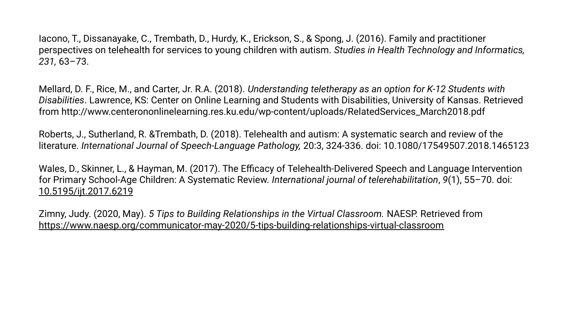Iacono, T., Dissanayake, C., Trembath, D., Hurdy, K., Erickson, S., & Spong, J. (2016). Family and practitioner perspectives on telehealth for services to young children with autism. *Studies in Health Technology and Informatics, 231,* 63–73.

Mellard, D. F., Rice, M., and Carter, Jr. R.A. (2018). *Understanding teletherapy as an option for K-12 Students with Disabilities*. Lawrence, KS: Center on Online Learning and Students with Disabilities, University of Kansas. Retrieved from http://www.centerononlinelearning.res.ku.edu/wp-content/uploads/RelatedServices\_March2018.pdf

Roberts, J., Sutherland, R. &Trembath, D. (2018). Telehealth and autism: A systematic search and review of the literature. *International Journal of Speech-Language Pathology,* 20:3, 324-336. doi: 10.1080/17549507.2018.1465123

Wales, D., Skinner, L., & Hayman, M. (2017). The Efficacy of Telehealth-Delivered Speech and Language Intervention for Primary School-Age Children: A Systematic Review. *International journal of telerehabilitation*, *9*(1), 55–70. doi: [10.5195/ijt.2017.6219](https://dx.doi.org/10.5195%2Fijt.2017.6219)

Zimny, Judy. (2020, May). *5 Tips to Building Relationships in the Virtual Classroom.* NAESP. Retrieved from <https://www.naesp.org/communicator-may-2020/5-tips-building-relationships-virtual-classroom>